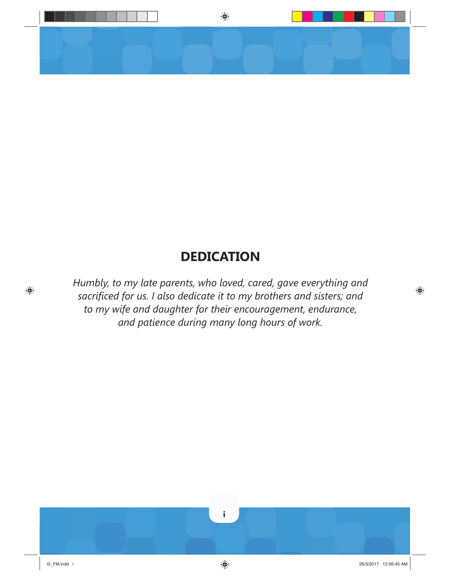

## **DEDICATION**

*Humbly, to my late parents, who loved, cared, gave everything and sacrifi ced for us. I also dedicate it to my brothers and sisters; and to my wife and daughter for their encouragement, endurance, and patience during many long hours of work.*

⊕

 $\bigoplus$ 

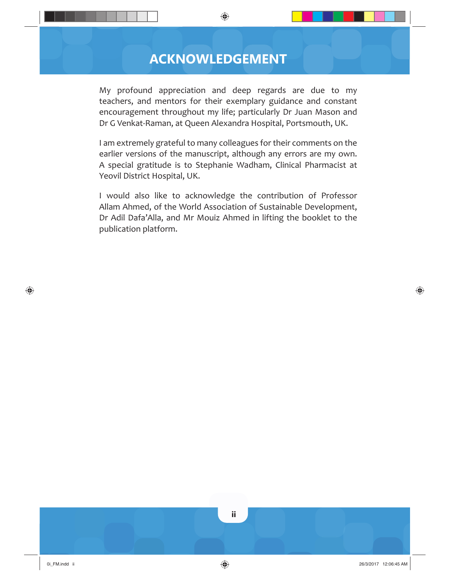## **ACKNOWLEDGEMENT**

◈

My profound appreciation and deep regards are due to my teachers, and mentors for their exemplary guidance and constant encouragement throughout my life; particularly Dr Juan Mason and Dr G Venkat-Raman, at Queen Alexandra Hospital, Portsmouth, UK.

I am extremely grateful to many colleagues for their comments on the earlier versions of the manuscript, although any errors are my own. A special gratitude is to Stephanie Wadham, Clinical Pharmacist at Yeovil District Hospital, UK.

I would also like to acknowledge the contribution of Professor Allam Ahmed, of the World Association of Sustainable Development, Dr Adil Dafa'Alla, and Mr Mouiz Ahmed in lifting the booklet to the publication platform.

♠

⊕